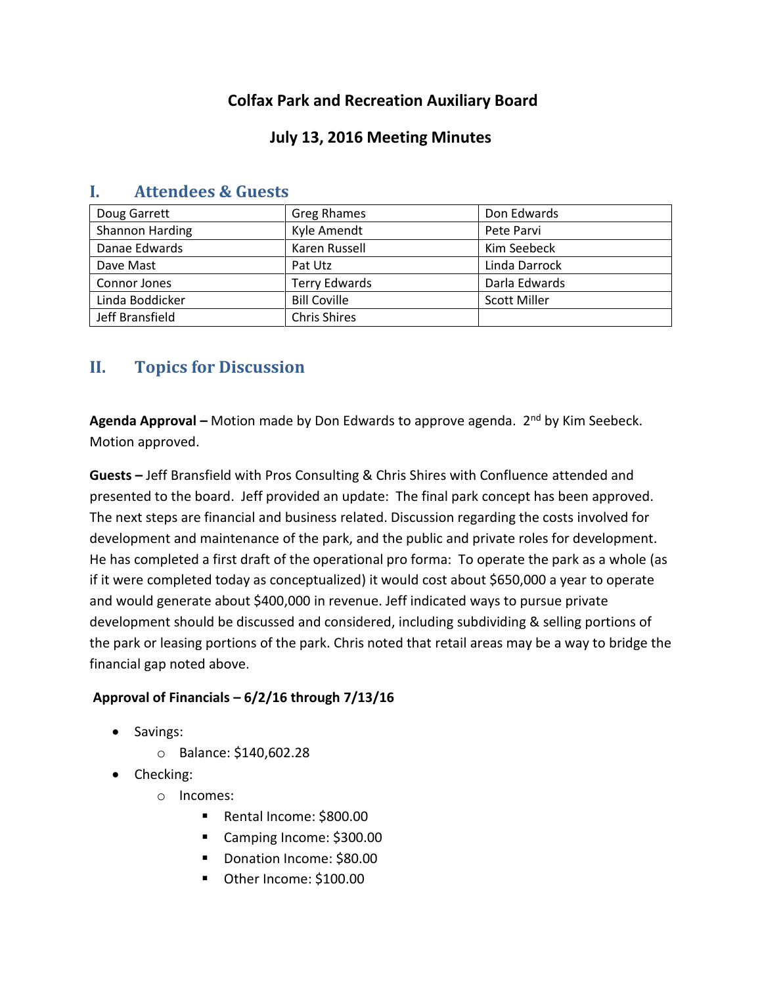# **Colfax Park and Recreation Auxiliary Board**

### **July 13, 2016 Meeting Minutes**

| Doug Garrett    | Greg Rhames          | Don Edwards         |
|-----------------|----------------------|---------------------|
| Shannon Harding | Kyle Amendt          | Pete Parvi          |
| Danae Edwards   | Karen Russell        | Kim Seebeck         |
| Dave Mast       | Pat Utz              | Linda Darrock       |
| Connor Jones    | <b>Terry Edwards</b> | Darla Edwards       |
| Linda Boddicker | <b>Bill Coville</b>  | <b>Scott Miller</b> |
| Jeff Bransfield | <b>Chris Shires</b>  |                     |

# **I. Attendees & Guests**

# **II. Topics for Discussion**

**Agenda Approval –** Motion made by Don Edwards to approve agenda. 2nd by Kim Seebeck. Motion approved.

**Guests –** Jeff Bransfield with Pros Consulting & Chris Shires with Confluence attended and presented to the board. Jeff provided an update: The final park concept has been approved. The next steps are financial and business related. Discussion regarding the costs involved for development and maintenance of the park, and the public and private roles for development. He has completed a first draft of the operational pro forma: To operate the park as a whole (as if it were completed today as conceptualized) it would cost about \$650,000 a year to operate and would generate about \$400,000 in revenue. Jeff indicated ways to pursue private development should be discussed and considered, including subdividing & selling portions of the park or leasing portions of the park. Chris noted that retail areas may be a way to bridge the financial gap noted above.

### **Approval of Financials – 6/2/16 through 7/13/16**

- Savings:
	- o Balance: \$140,602.28
- Checking:
	- o Incomes:
		- Rental Income: \$800.00
		- Camping Income: \$300.00
		- Donation Income: \$80.00
		- Other Income: \$100.00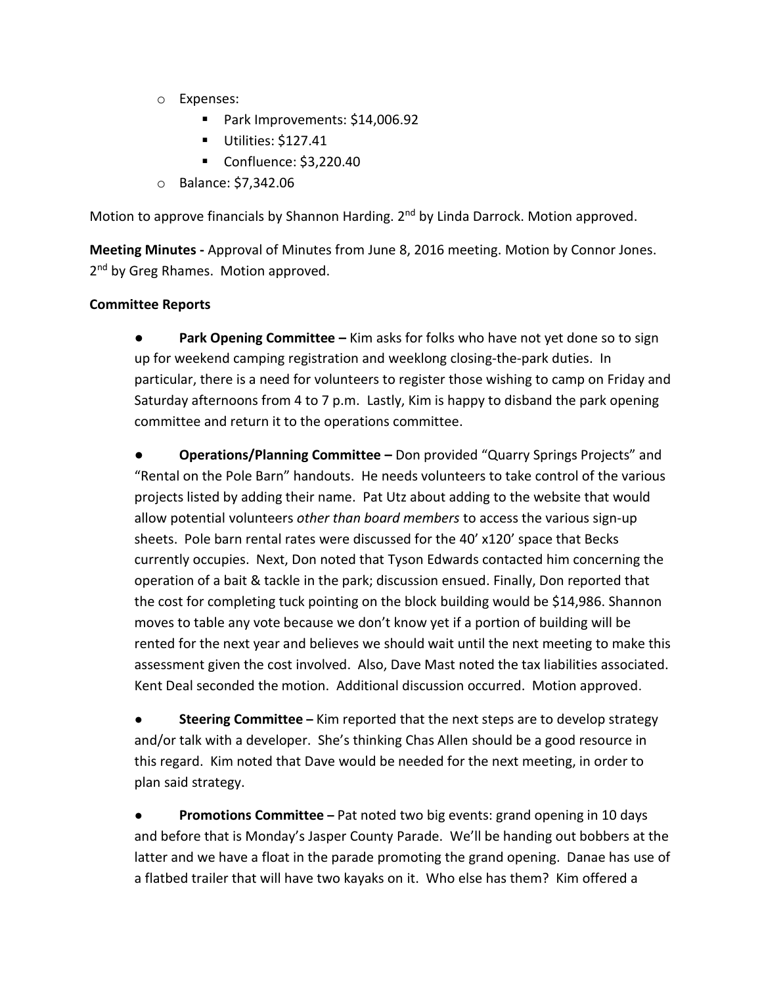- o Expenses:
	- Park Improvements: \$14,006.92
	- Utilities: \$127.41
	- Confluence: \$3,220.40
- o Balance: \$7,342.06

Motion to approve financials by Shannon Harding. 2<sup>nd</sup> by Linda Darrock. Motion approved.

**Meeting Minutes -** Approval of Minutes from June 8, 2016 meeting. Motion by Connor Jones. 2<sup>nd</sup> by Greg Rhames. Motion approved.

#### **Committee Reports**

**Park Opening Committee –** Kim asks for folks who have not yet done so to sign up for weekend camping registration and weeklong closing-the-park duties. In particular, there is a need for volunteers to register those wishing to camp on Friday and Saturday afternoons from 4 to 7 p.m. Lastly, Kim is happy to disband the park opening committee and return it to the operations committee.

**● Operations/Planning Committee –** Don provided "Quarry Springs Projects" and "Rental on the Pole Barn" handouts. He needs volunteers to take control of the various projects listed by adding their name. Pat Utz about adding to the website that would allow potential volunteers *other than board members* to access the various sign-up sheets. Pole barn rental rates were discussed for the 40' x120' space that Becks currently occupies. Next, Don noted that Tyson Edwards contacted him concerning the operation of a bait & tackle in the park; discussion ensued. Finally, Don reported that the cost for completing tuck pointing on the block building would be \$14,986. Shannon moves to table any vote because we don't know yet if a portion of building will be rented for the next year and believes we should wait until the next meeting to make this assessment given the cost involved. Also, Dave Mast noted the tax liabilities associated. Kent Deal seconded the motion. Additional discussion occurred. Motion approved.

**Steering Committee** – Kim reported that the next steps are to develop strategy and/or talk with a developer. She's thinking Chas Allen should be a good resource in this regard. Kim noted that Dave would be needed for the next meeting, in order to plan said strategy.

● **Promotions Committee –** Pat noted two big events: grand opening in 10 days and before that is Monday's Jasper County Parade. We'll be handing out bobbers at the latter and we have a float in the parade promoting the grand opening. Danae has use of a flatbed trailer that will have two kayaks on it. Who else has them? Kim offered a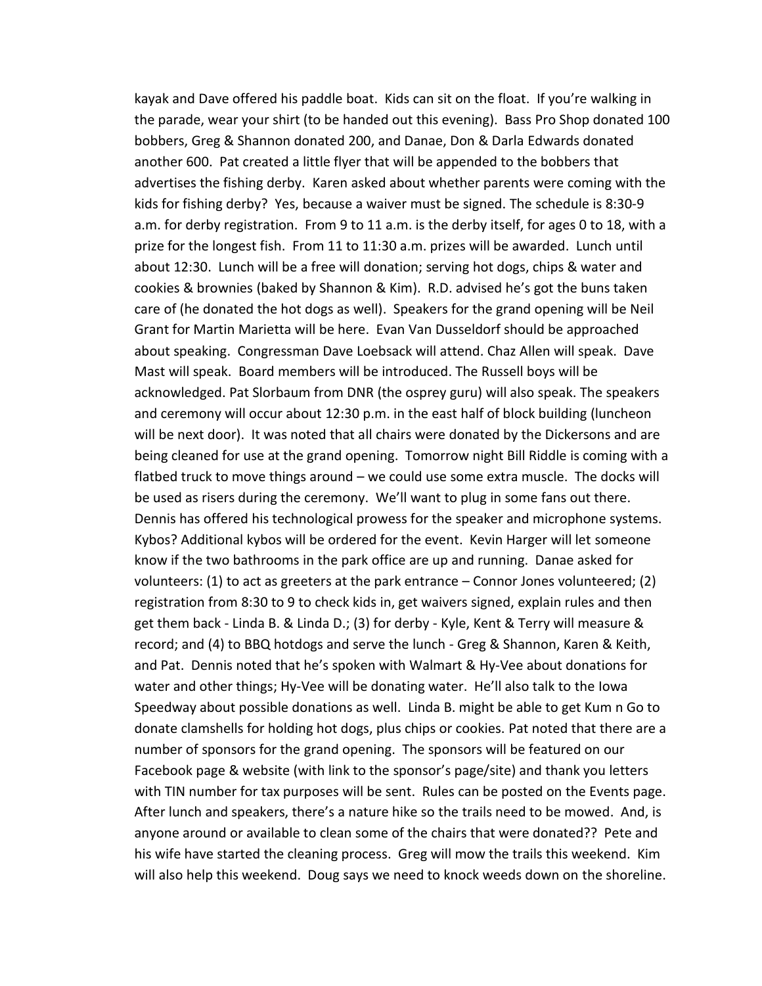kayak and Dave offered his paddle boat. Kids can sit on the float. If you're walking in the parade, wear your shirt (to be handed out this evening). Bass Pro Shop donated 100 bobbers, Greg & Shannon donated 200, and Danae, Don & Darla Edwards donated another 600. Pat created a little flyer that will be appended to the bobbers that advertises the fishing derby. Karen asked about whether parents were coming with the kids for fishing derby? Yes, because a waiver must be signed. The schedule is 8:30-9 a.m. for derby registration. From 9 to 11 a.m. is the derby itself, for ages 0 to 18, with a prize for the longest fish. From 11 to 11:30 a.m. prizes will be awarded. Lunch until about 12:30. Lunch will be a free will donation; serving hot dogs, chips & water and cookies & brownies (baked by Shannon & Kim). R.D. advised he's got the buns taken care of (he donated the hot dogs as well). Speakers for the grand opening will be Neil Grant for Martin Marietta will be here. Evan Van Dusseldorf should be approached about speaking. Congressman Dave Loebsack will attend. Chaz Allen will speak. Dave Mast will speak. Board members will be introduced. The Russell boys will be acknowledged. Pat Slorbaum from DNR (the osprey guru) will also speak. The speakers and ceremony will occur about 12:30 p.m. in the east half of block building (luncheon will be next door). It was noted that all chairs were donated by the Dickersons and are being cleaned for use at the grand opening. Tomorrow night Bill Riddle is coming with a flatbed truck to move things around – we could use some extra muscle. The docks will be used as risers during the ceremony. We'll want to plug in some fans out there. Dennis has offered his technological prowess for the speaker and microphone systems. Kybos? Additional kybos will be ordered for the event. Kevin Harger will let someone know if the two bathrooms in the park office are up and running. Danae asked for volunteers: (1) to act as greeters at the park entrance – Connor Jones volunteered; (2) registration from 8:30 to 9 to check kids in, get waivers signed, explain rules and then get them back - Linda B. & Linda D.; (3) for derby - Kyle, Kent & Terry will measure & record; and (4) to BBQ hotdogs and serve the lunch - Greg & Shannon, Karen & Keith, and Pat. Dennis noted that he's spoken with Walmart & Hy-Vee about donations for water and other things; Hy-Vee will be donating water. He'll also talk to the Iowa Speedway about possible donations as well. Linda B. might be able to get Kum n Go to donate clamshells for holding hot dogs, plus chips or cookies. Pat noted that there are a number of sponsors for the grand opening. The sponsors will be featured on our Facebook page & website (with link to the sponsor's page/site) and thank you letters with TIN number for tax purposes will be sent. Rules can be posted on the Events page. After lunch and speakers, there's a nature hike so the trails need to be mowed. And, is anyone around or available to clean some of the chairs that were donated?? Pete and his wife have started the cleaning process. Greg will mow the trails this weekend. Kim will also help this weekend. Doug says we need to knock weeds down on the shoreline.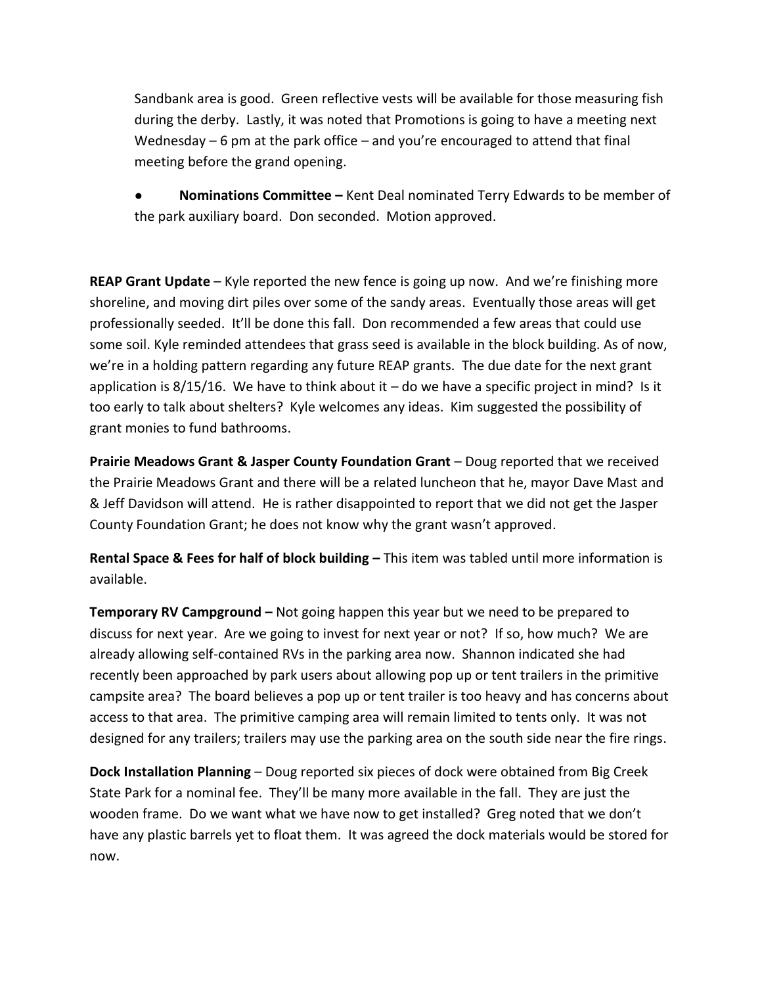Sandbank area is good. Green reflective vests will be available for those measuring fish during the derby. Lastly, it was noted that Promotions is going to have a meeting next Wednesday – 6 pm at the park office – and you're encouraged to attend that final meeting before the grand opening.

● **Nominations Committee –** Kent Deal nominated Terry Edwards to be member of the park auxiliary board. Don seconded. Motion approved.

**REAP Grant Update** – Kyle reported the new fence is going up now. And we're finishing more shoreline, and moving dirt piles over some of the sandy areas. Eventually those areas will get professionally seeded. It'll be done this fall. Don recommended a few areas that could use some soil. Kyle reminded attendees that grass seed is available in the block building. As of now, we're in a holding pattern regarding any future REAP grants. The due date for the next grant application is  $8/15/16$ . We have to think about it – do we have a specific project in mind? Is it too early to talk about shelters? Kyle welcomes any ideas. Kim suggested the possibility of grant monies to fund bathrooms.

**Prairie Meadows Grant & Jasper County Foundation Grant** – Doug reported that we received the Prairie Meadows Grant and there will be a related luncheon that he, mayor Dave Mast and & Jeff Davidson will attend. He is rather disappointed to report that we did not get the Jasper County Foundation Grant; he does not know why the grant wasn't approved.

**Rental Space & Fees for half of block building –** This item was tabled until more information is available.

**Temporary RV Campground –** Not going happen this year but we need to be prepared to discuss for next year. Are we going to invest for next year or not? If so, how much? We are already allowing self-contained RVs in the parking area now. Shannon indicated she had recently been approached by park users about allowing pop up or tent trailers in the primitive campsite area? The board believes a pop up or tent trailer is too heavy and has concerns about access to that area. The primitive camping area will remain limited to tents only. It was not designed for any trailers; trailers may use the parking area on the south side near the fire rings.

**Dock Installation Planning** – Doug reported six pieces of dock were obtained from Big Creek State Park for a nominal fee. They'll be many more available in the fall. They are just the wooden frame. Do we want what we have now to get installed? Greg noted that we don't have any plastic barrels yet to float them. It was agreed the dock materials would be stored for now.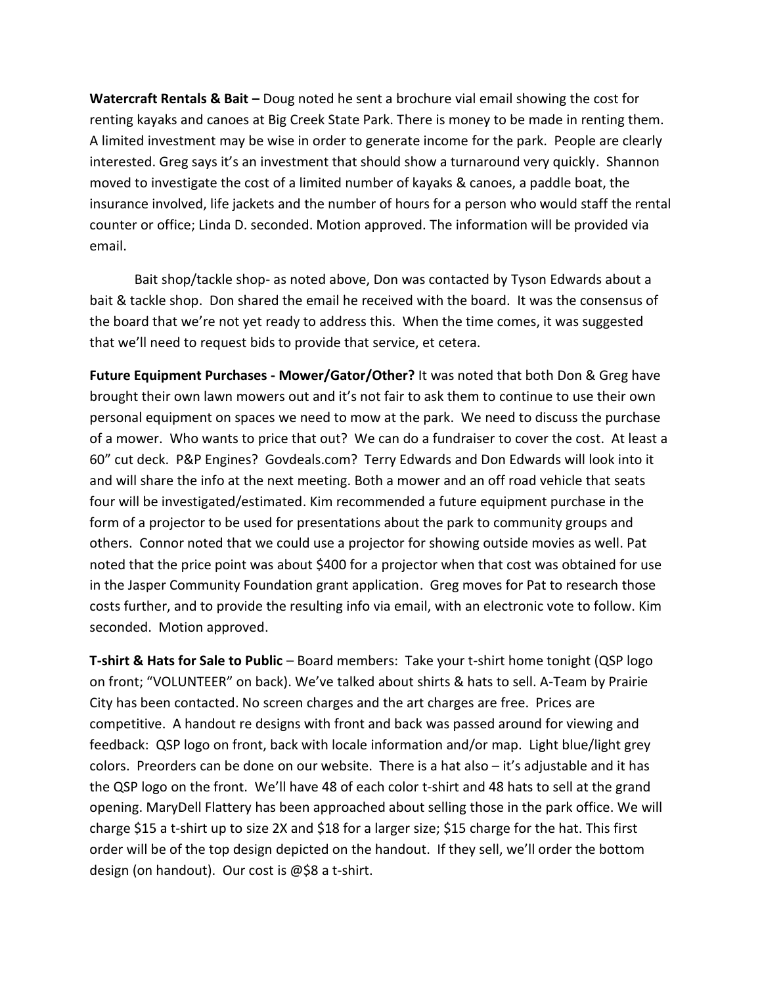**Watercraft Rentals & Bait –** Doug noted he sent a brochure vial email showing the cost for renting kayaks and canoes at Big Creek State Park. There is money to be made in renting them. A limited investment may be wise in order to generate income for the park. People are clearly interested. Greg says it's an investment that should show a turnaround very quickly. Shannon moved to investigate the cost of a limited number of kayaks & canoes, a paddle boat, the insurance involved, life jackets and the number of hours for a person who would staff the rental counter or office; Linda D. seconded. Motion approved. The information will be provided via email.

Bait shop/tackle shop- as noted above, Don was contacted by Tyson Edwards about a bait & tackle shop. Don shared the email he received with the board. It was the consensus of the board that we're not yet ready to address this. When the time comes, it was suggested that we'll need to request bids to provide that service, et cetera.

**Future Equipment Purchases - Mower/Gator/Other?** It was noted that both Don & Greg have brought their own lawn mowers out and it's not fair to ask them to continue to use their own personal equipment on spaces we need to mow at the park. We need to discuss the purchase of a mower. Who wants to price that out? We can do a fundraiser to cover the cost. At least a 60" cut deck. P&P Engines? Govdeals.com? Terry Edwards and Don Edwards will look into it and will share the info at the next meeting. Both a mower and an off road vehicle that seats four will be investigated/estimated. Kim recommended a future equipment purchase in the form of a projector to be used for presentations about the park to community groups and others. Connor noted that we could use a projector for showing outside movies as well. Pat noted that the price point was about \$400 for a projector when that cost was obtained for use in the Jasper Community Foundation grant application. Greg moves for Pat to research those costs further, and to provide the resulting info via email, with an electronic vote to follow. Kim seconded. Motion approved.

**T-shirt & Hats for Sale to Public** – Board members: Take your t-shirt home tonight (QSP logo on front; "VOLUNTEER" on back). We've talked about shirts & hats to sell. A-Team by Prairie City has been contacted. No screen charges and the art charges are free. Prices are competitive. A handout re designs with front and back was passed around for viewing and feedback: QSP logo on front, back with locale information and/or map. Light blue/light grey colors. Preorders can be done on our website. There is a hat also – it's adjustable and it has the QSP logo on the front. We'll have 48 of each color t-shirt and 48 hats to sell at the grand opening. MaryDell Flattery has been approached about selling those in the park office. We will charge \$15 a t-shirt up to size 2X and \$18 for a larger size; \$15 charge for the hat. This first order will be of the top design depicted on the handout. If they sell, we'll order the bottom design (on handout). Our cost is @\$8 a t-shirt.